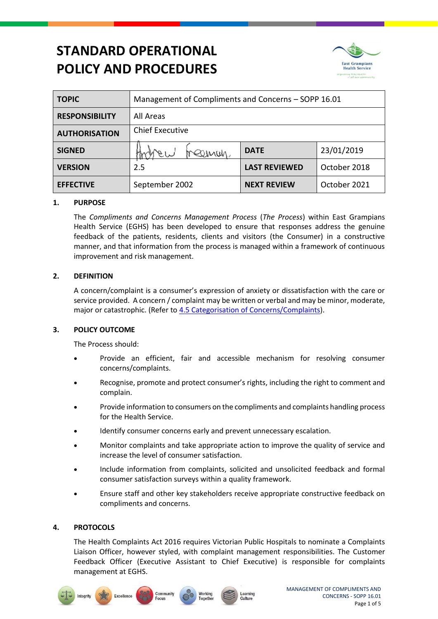# **STANDARD OPERATIONAL POLICY AND PROCEDURES**



| <b>TOPIC</b>          | Management of Compliments and Concerns – SOPP 16.01 |                      |              |
|-----------------------|-----------------------------------------------------|----------------------|--------------|
| <b>RESPONSIBILITY</b> | All Areas                                           |                      |              |
| <b>AUTHORISATION</b>  | <b>Chief Executive</b>                              |                      |              |
| <b>SIGNED</b>         | eeman                                               | <b>DATE</b>          | 23/01/2019   |
| <b>VERSION</b>        | 2.5                                                 | <b>LAST REVIEWED</b> | October 2018 |
| <b>EFFECTIVE</b>      | September 2002                                      | <b>NEXT REVIEW</b>   | October 2021 |

# **1. PURPOSE**

The *Compliments and Concerns Management Process* (*The Process*) within East Grampians Health Service (EGHS) has been developed to ensure that responses address the genuine feedback of the patients, residents, clients and visitors (the Consumer) in a constructive manner, and that information from the process is managed within a framework of continuous improvement and risk management.

# **2. DEFINITION**

A concern/complaint is a consumer's expression of anxiety or dissatisfaction with the care or service provided. A concern / complaint may be written or verbal and may be minor, moderate, major or catastrophic. (Refer to 4.5 [Categorisation of Concerns/Complaints\)](#page-2-0).

# **3. POLICY OUTCOME**

The Process should:

- Provide an efficient, fair and accessible mechanism for resolving consumer concerns/complaints.
- Recognise, promote and protect consumer's rights, including the right to comment and complain.
- Provide information to consumers on the compliments and complaints handling process for the Health Service.
- Identify consumer concerns early and prevent unnecessary escalation.
- Monitor complaints and take appropriate action to improve the quality of service and increase the level of consumer satisfaction.
- Include information from complaints, solicited and unsolicited feedback and formal consumer satisfaction surveys within a quality framework.
- Ensure staff and other key stakeholders receive appropriate constructive feedback on compliments and concerns.

## **4. PROTOCOLS**

The Health Complaints Act 2016 requires Victorian Public Hospitals to nominate a Complaints Liaison Officer, however styled, with complaint management responsibilities. The Customer Feedback Officer (Executive Assistant to Chief Executive) is responsible for complaints management at EGHS.





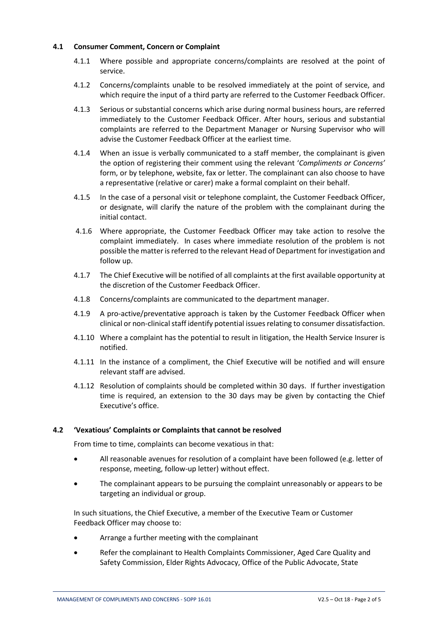# **4.1 Consumer Comment, Concern or Complaint**

- 4.1.1 Where possible and appropriate concerns/complaints are resolved at the point of service.
- 4.1.2 Concerns/complaints unable to be resolved immediately at the point of service, and which require the input of a third party are referred to the Customer Feedback Officer.
- 4.1.3 Serious or substantial concerns which arise during normal business hours, are referred immediately to the Customer Feedback Officer. After hours, serious and substantial complaints are referred to the Department Manager or Nursing Supervisor who will advise the Customer Feedback Officer at the earliest time.
- 4.1.4 When an issue is verbally communicated to a staff member, the complainant is given the option of registering their comment using the relevant '*Compliments or Concerns'*  form, or by telephone, website, fax or letter. The complainant can also choose to have a representative (relative or carer) make a formal complaint on their behalf.
- 4.1.5 In the case of a personal visit or telephone complaint, the Customer Feedback Officer, or designate, will clarify the nature of the problem with the complainant during the initial contact.
- 4.1.6 Where appropriate, the Customer Feedback Officer may take action to resolve the complaint immediately. In cases where immediate resolution of the problem is not possible the matter is referred to the relevant Head of Department for investigation and follow up.
- 4.1.7 The Chief Executive will be notified of all complaints at the first available opportunity at the discretion of the Customer Feedback Officer.
- 4.1.8 Concerns/complaints are communicated to the department manager.
- 4.1.9 A pro-active/preventative approach is taken by the Customer Feedback Officer when clinical or non-clinical staff identify potential issues relating to consumer dissatisfaction.
- 4.1.10 Where a complaint has the potential to result in litigation, the Health Service Insurer is notified.
- 4.1.11 In the instance of a compliment, the Chief Executive will be notified and will ensure relevant staff are advised.
- 4.1.12 Resolution of complaints should be completed within 30 days. If further investigation time is required, an extension to the 30 days may be given by contacting the Chief Executive's office.

## **4.2 'Vexatious' Complaints or Complaints that cannot be resolved**

From time to time, complaints can become vexatious in that:

- All reasonable avenues for resolution of a complaint have been followed (e.g. letter of response, meeting, follow-up letter) without effect.
- The complainant appears to be pursuing the complaint unreasonably or appears to be targeting an individual or group.

In such situations, the Chief Executive, a member of the Executive Team or Customer Feedback Officer may choose to:

- Arrange a further meeting with the complainant
- Refer the complainant to Health Complaints Commissioner, Aged Care Quality and Safety Commission, Elder Rights Advocacy, Office of the Public Advocate, State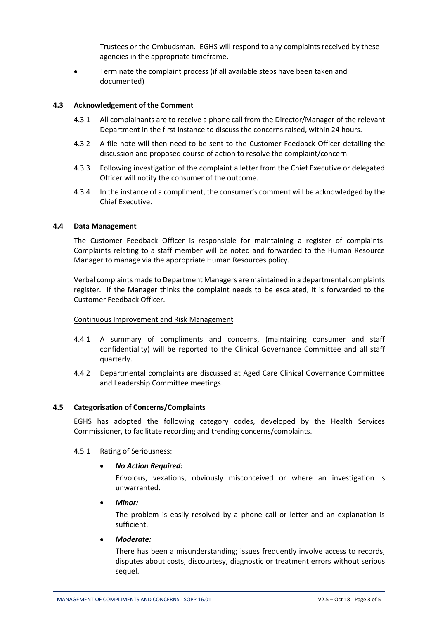Trustees or the Ombudsman. EGHS will respond to any complaints received by these agencies in the appropriate timeframe.

 Terminate the complaint process (if all available steps have been taken and documented)

## **4.3 Acknowledgement of the Comment**

- 4.3.1 All complainants are to receive a phone call from the Director/Manager of the relevant Department in the first instance to discuss the concerns raised, within 24 hours.
- 4.3.2 A file note will then need to be sent to the Customer Feedback Officer detailing the discussion and proposed course of action to resolve the complaint/concern.
- 4.3.3 Following investigation of the complaint a letter from the Chief Executive or delegated Officer will notify the consumer of the outcome.
- 4.3.4 In the instance of a compliment, the consumer's comment will be acknowledged by the Chief Executive.

## **4.4 Data Management**

The Customer Feedback Officer is responsible for maintaining a register of complaints. Complaints relating to a staff member will be noted and forwarded to the Human Resource Manager to manage via the appropriate Human Resources policy.

Verbal complaints made to Department Managers are maintained in a departmental complaints register. If the Manager thinks the complaint needs to be escalated, it is forwarded to the Customer Feedback Officer.

## Continuous Improvement and Risk Management

- 4.4.1 A summary of compliments and concerns, (maintaining consumer and staff confidentiality) will be reported to the Clinical Governance Committee and all staff quarterly.
- 4.4.2 Departmental complaints are discussed at Aged Care Clinical Governance Committee and Leadership Committee meetings.

## <span id="page-2-0"></span>**4.5 Categorisation of Concerns/Complaints**

EGHS has adopted the following category codes, developed by the Health Services Commissioner, to facilitate recording and trending concerns/complaints.

#### 4.5.1 Rating of Seriousness:

#### *No Action Required:*

Frivolous, vexations, obviously misconceived or where an investigation is unwarranted.

#### *Minor:*

The problem is easily resolved by a phone call or letter and an explanation is sufficient.

*Moderate:*

There has been a misunderstanding; issues frequently involve access to records, disputes about costs, discourtesy, diagnostic or treatment errors without serious sequel.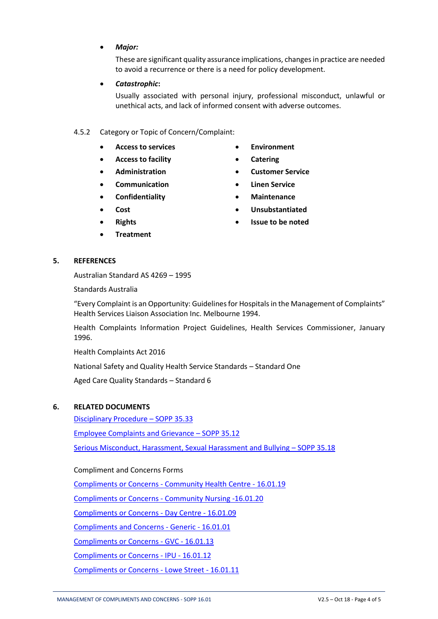*Major:*

These are significant quality assurance implications, changes in practice are needed to avoid a recurrence or there is a need for policy development.

*Catastrophic***:**

Usually associated with personal injury, professional misconduct, unlawful or unethical acts, and lack of informed consent with adverse outcomes.

## 4.5.2 Category or Topic of Concern/Complaint:

- **Access to services**
- **Access to facility**
- **Administration**
- **Communication**
- **Confidentiality**
- **Cost**
- **Rights**
- **Treatment**
- **Environment**
- **Catering**
- **Customer Service**
- **Linen Service**
- **Maintenance**
- **Unsubstantiated**
- **Issue to be noted**

#### **5. REFERENCES**

Australian Standard AS 4269 – 1995

Standards Australia

"Every Complaint is an Opportunity: Guidelines for Hospitals in the Management of Complaints" Health Services Liaison Association Inc. Melbourne 1994.

Health Complaints Information Project Guidelines, Health Services Commissioner, January 1996.

Health Complaints Act 2016

National Safety and Quality Health Service Standards – Standard One

Aged Care Quality Standards – Standard 6

# **6. RELATED DOCUMENTS**

[Disciplinary Procedure](http://intranet.eghs.net.au/Files/Policies/Disciplinary%20Procedure%20-%20SOPP%2035.33.pdf) – SOPP 35.33

[Employee Complaints and Grievance](http://intranet.eghs.net.au/Files/Policies/Employee%20Complaints%20and%20Grievance%20-%20SOPP%2035.12.pdf) – SOPP 35.12

[Serious Misconduct, Harassment, Sexual Harassment and Bullying](http://intranet.eghs.net.au/Files/Policies/Serious%20Misconduct%20-%20Harassment%20-%20Sexual%20Harassment%20-%20Bullying%20-%20SOPP%2035.18.pdf) – SOPP 35.18

Compliment and Concerns Forms

Compliments or Concerns - [Community Health Centre -](http://intranet.eghs.net.au/Files/Form/Compliments%20and%20Concerns%20-%20CHC%20-%2016.01.19.pdf) 16.01.19

Compliments or Concerns - [Community Nursing -16.01.20](http://intranet.eghs.net.au/Files/Form/Compliments%20and%20Concerns%20-%20Community%20Nursing%20-%2016.01.20.pdf)

[Compliments or Concerns -](http://intranet.eghs.net.au/Files/Form/Compliments%20and%20Concerns%20-%20Patricia%20Hinchey%20Centre%20-%2016.01.09.pdf) Day Centre - 16.01.09

[Compliments and Concerns -](http://intranet.eghs.net.au/Files/Form/Compliments%20and%20Concerns%20-%20Generic%20-%2016.01.01.pdf) Generic - 16.01.01

[Compliments or Concerns -](http://intranet.eghs.net.au/Files/Form/Compliments%20and%20Concerns%20-%20GVC%20-%2016.01.13.pdf) GVC - 16.01.13

[Compliments or Concerns -](http://intranet.eghs.net.au/Files/Form/Compliments%20and%20Concerns%20-%20IPU%20-%2016.01.12.pdf) IPU - 16.01.12

[Compliments or Concerns -](http://intranet.eghs.net.au/Files/Form/Compliments%20and%20Concerns%20-%20Lowe%20Street%20-%2016.01.11.pdf) Lowe Street - 16.01.11